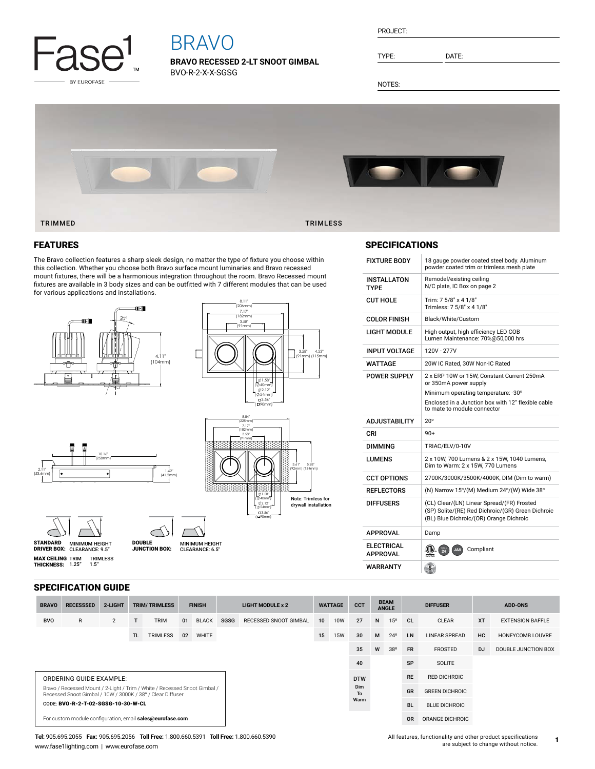

# BRAVO

**BRAVO RECESSED 2-LT SNOOT GIMBAL** BVO-R-2-X-X-SGSG

| PROJECT: |  |
|----------|--|
|          |  |

TYPE: DATE:

NOTES:



#### FEATURES

The Bravo collection features a sharp sleek design, no matter the type of fixture you choose within this collection. Whether you choose both Bravo surface mount luminaries and Bravo recessed mount fixtures, there will be a harmonious integration throughout the room. Bravo Recessed mount fixtures are available in 3 body sizes and can be outfitted with 7 different modules that can be used for various applications and installations.

MINIMUM HEIGHT<br>CLEARANCE: 6.5"

 $\prime$ 





8.11" (206mm) 7.17" (182mm)

3.58"

( 90mm)

#### SPECIFICATIONS

| <b>FIXTURE BODY</b>                  | 18 gauge powder coated steel body. Aluminum<br>powder coated trim or trimless mesh plate                                                                                                        |
|--------------------------------------|-------------------------------------------------------------------------------------------------------------------------------------------------------------------------------------------------|
| <b>INSTALLATON</b><br>TYPF           | Remodel/existing ceiling<br>N/C plate, IC Box on page 2                                                                                                                                         |
| <b>CUT HOLE</b>                      | Trim: 7 5/8" x 4 1/8"<br>Trimless: 7 5/8" x 4 1/8"                                                                                                                                              |
| <b>COLOR FINISH</b>                  | Black/White/Custom                                                                                                                                                                              |
| LIGHT MODULE                         | High output, high efficiency LED COB<br>Lumen Maintenance: 70%@50,000 hrs                                                                                                                       |
| <b>INPUT VOLTAGE</b>                 | 120V - 277V                                                                                                                                                                                     |
| WATTAGE                              | 20W IC Rated, 30W Non-IC Rated                                                                                                                                                                  |
| <b>POWER SUPPLY</b>                  | 2 x ERP 10W or 15W, Constant Current 250mA<br>or 350mA power supply<br>Minimum operating temperature: -30°<br>Enclosed in a Junction box with 12" flexible cable<br>to mate to module connector |
|                                      |                                                                                                                                                                                                 |
|                                      |                                                                                                                                                                                                 |
| <b>ADJUSTABILITY</b>                 | $20^{\circ}$                                                                                                                                                                                    |
| CRI                                  | $90+$                                                                                                                                                                                           |
| DIMMING                              | TRIAC/ELV/0-10V                                                                                                                                                                                 |
| LUMENS                               | 2 x 10W, 700 Lumens & 2 x 15W, 1040 Lumens,<br>Dim to Warm: 2 x 15W, 770 Lumens                                                                                                                 |
| <b>CCT OPTIONS</b>                   | 2700K/3000K/3500K/4000K, DIM (Dim to warm)                                                                                                                                                      |
| <b>REFLECTORS</b>                    | (N) Narrow 15°/(M) Medium 24°/(W) Wide 38°                                                                                                                                                      |
| <b>DIFFUSERS</b>                     | (CL) Clear/(LN) Linear Spread/(FR) Frosted<br>(SP) Solite/(RE) Red Dichroic/(GR) Green Dichroic<br>(BL) Blue Dichroic/(OR) Orange Dichroic                                                      |
| <b>APPROVAL</b>                      | Damp                                                                                                                                                                                            |
| <b>ELECTRICAL</b><br><b>APPROVAL</b> | (CIL)<br>Compliant<br>JA8                                                                                                                                                                       |

### SPECIFICATION GUIDE

TRIMLESS 1.5"

10.16" (258mm)

**MAX CEILING** TRIM<br>**THICKNESS:** 1.25"

2.11" (53.6mm)

MINIMUM HEIGHT CLEARANCE: 9.5" STANDARD DRIVER BOX: MINIMUM HEIGHT

DOUBLE JUNCTION BOX:

1.62"  $(41)$ 

| <b>BRAVO</b>                                                                                                                            | <b>RECESSSED</b>                                          | 2-LIGHT |           | <b>TRIM/TRIMLESS</b> | <b>FINISH</b> |              | <b>LIGHT MODULE x 2</b> |                       | <b>WATTAGE</b>          |            | CCT  |    | <b>BEAM</b><br><b>ANGLE</b> |                | <b>DIFFUSER</b>      | <b>ADD-ONS</b> |                         |
|-----------------------------------------------------------------------------------------------------------------------------------------|-----------------------------------------------------------|---------|-----------|----------------------|---------------|--------------|-------------------------|-----------------------|-------------------------|------------|------|----|-----------------------------|----------------|----------------------|----------------|-------------------------|
| <b>BVO</b>                                                                                                                              | R                                                         | 2       | T         | <b>TRIM</b>          | 01            | <b>BLACK</b> | <b>SGSG</b>             | RECESSED SNOOT GIMBAL | 10 <sup>1</sup>         | 10W        | 27   | N  | 15 <sup>o</sup>             | CL             | <b>CLEAR</b>         | <b>XT</b>      | <b>EXTENSION BAFFLE</b> |
|                                                                                                                                         |                                                           |         | <b>TL</b> | <b>TRIMLESS</b>      | 02            | <b>WHITE</b> |                         |                       | 15                      | <b>15W</b> | 30   | M  | $24^{\circ}$                | <b>LN</b>      | <b>LINEAR SPREAD</b> | HC             | <b>HONEYCOMB LOUVRE</b> |
|                                                                                                                                         |                                                           |         |           |                      |               |              |                         |                       |                         |            | 35   | W  | 38°                         | <b>FR</b>      | FROSTED              | <b>DJ</b>      | DOUBLE JUNCTION BOX     |
|                                                                                                                                         |                                                           |         |           |                      |               |              |                         |                       |                         |            | 40   |    |                             | <b>SP</b>      | <b>SOLITE</b>        |                |                         |
| <b>ORDERING GUIDE EXAMPLE:</b>                                                                                                          |                                                           |         |           |                      |               |              |                         |                       | <b>DTW</b><br>Dim<br>To |            |      |    |                             | <b>RE</b>      | <b>RED DICHROIC</b>  |                |                         |
| Bravo / Recessed Mount / 2-Light / Trim / White / Recessed Snoot Gimbal /<br>Recessed Snoot Gimbal / 10W / 3000K / 38° / Clear Diffuser |                                                           |         |           |                      |               |              |                         |                       |                         |            |      | GR | <b>GREEN DICHROIC</b>       |                |                      |                |                         |
|                                                                                                                                         | CODE: BVO-R-2-T-02-SGSG-10-30-W-CL                        |         |           |                      |               |              |                         |                       |                         |            | Warm |    |                             | <b>BL</b>      | <b>BLUE DICHROIC</b> |                |                         |
|                                                                                                                                         | For custom module configuration, email sales@eurofase.com |         |           |                      |               |              |                         |                       |                         |            |      |    |                             | 0 <sub>R</sub> | ORANGE DICHROIC      |                |                         |

**Tel:** 905.695.2055 **Fax:** 905.695.2056 **Toll Free:** 1.800.660.5391 **Toll Free:** 1.800.660.5390 www.fase1lighting.com | www.eurofase.com

**1**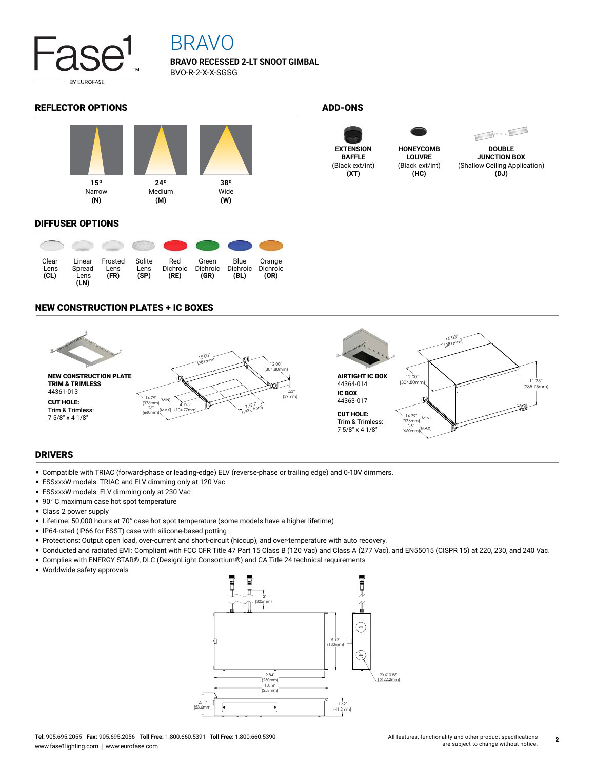

## BRAVO

**BRAVO RECESSED 2-LT SNOOT GIMBAL** BVO-R-2-X-X-SGSG

#### REFLECTOR OPTIONS ADD-ONS



#### DIFFUSER OPTIONS



#### NEW CONSTRUCTION PLATES + IC BOXES



#### DRIVERS

- Compatible with TRIAC (forward-phase or leading-edge) ELV (reverse-phase or trailing edge) and 0-10V dimmers.
- ESSxxxW models: TRIAC and ELV dimming only at 120 Vac
- ESSxxxW models: ELV dimming only at 230 Vac
- 90° C maximum case hot spot temperature
- Class 2 power supply
- Lifetime: 50,000 hours at 70° case hot spot temperature (some models have a higher lifetime)
- IP64-rated (IP66 for ESST) case with silicone-based potting
- Protections: Output open load, over-current and short-circuit (hiccup), and over-temperature with auto recovery.
- Conducted and radiated EMI: Compliant with FCC CFR Title 47 Part 15 Class B (120 Vac) and Class A (277 Vac), and EN55015 (CISPR 15) at 220, 230, and 240 Vac.
- Complies with ENERGY STAR®, DLC (DesignLight Consortium®) and CA Title 24 technical requirements
- Worldwide safety approvals



**EXTENSION BAFFLE** (Black ext/int) **(XT)**



(Black ext/int) **(HC)**



**DOUBLE JUNCTION BOX** (Shallow Ceiling Application) **(DJ)**